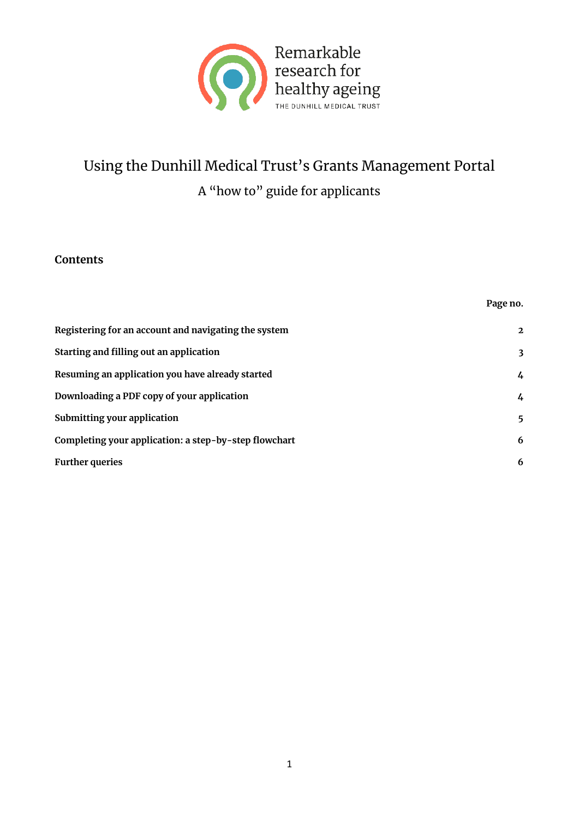

# Using the Dunhill Medical Trust's Grants Management Portal A "how to" guide for applicants

#### **Contents**

|                                                       | Page no.       |
|-------------------------------------------------------|----------------|
| Registering for an account and navigating the system  | $\overline{2}$ |
| Starting and filling out an application               | 3              |
| Resuming an application you have already started      | $\frac{1}{4}$  |
| Downloading a PDF copy of your application            | $\frac{1}{4}$  |
| Submitting your application                           | 5              |
| Completing your application: a step-by-step flowchart | 6              |
| <b>Further queries</b>                                | 6              |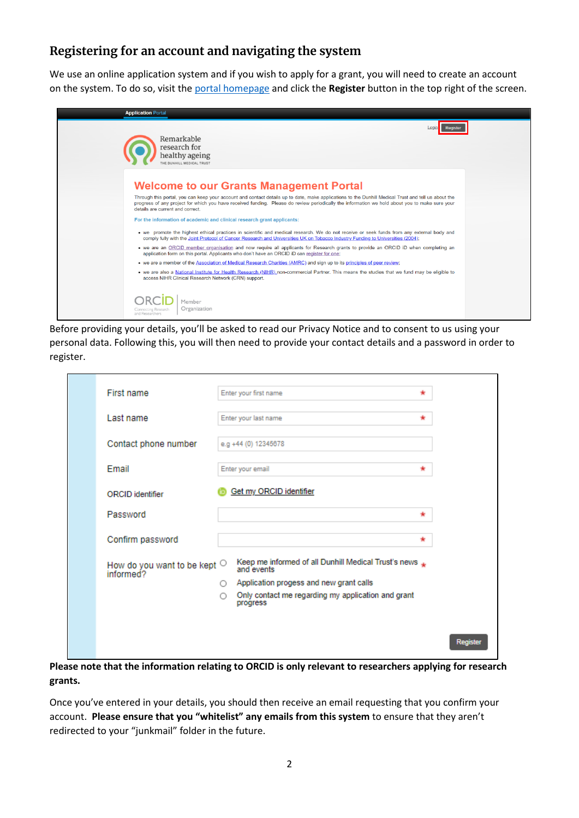## **Registering for an account and navigating the system**

We use an online application system and if you wish to apply for a grant, you will need to create an account on the system. To do so, visit the [portal homepage](https://dunhillmedicaltrust.flexigrant.com/) and click the **Register** button in the top right of the screen.

| <b>Application Portal</b>                                                                                                                                                                                                                                                                                                                                                                                                                                                                                                                                                                                                                                                                                                                                                                                                                                                                                                                                                                                                                                                                                                                                                                                                                                                                                                                                                                           |  |
|-----------------------------------------------------------------------------------------------------------------------------------------------------------------------------------------------------------------------------------------------------------------------------------------------------------------------------------------------------------------------------------------------------------------------------------------------------------------------------------------------------------------------------------------------------------------------------------------------------------------------------------------------------------------------------------------------------------------------------------------------------------------------------------------------------------------------------------------------------------------------------------------------------------------------------------------------------------------------------------------------------------------------------------------------------------------------------------------------------------------------------------------------------------------------------------------------------------------------------------------------------------------------------------------------------------------------------------------------------------------------------------------------------|--|
| Remarkable<br>research for<br>healthy ageing<br>THE DUNHILL MEDICAL TRUST                                                                                                                                                                                                                                                                                                                                                                                                                                                                                                                                                                                                                                                                                                                                                                                                                                                                                                                                                                                                                                                                                                                                                                                                                                                                                                                           |  |
| <b>Welcome to our Grants Management Portal</b><br>Through this portal, you can keep your account and contact details up to date, make applications to the Dunhill Medical Trust and tell us about the<br>progress of any project for which you have received funding. Please do review periodically the information we hold about you to make sure your<br>details are current and correct.<br>For the information of academic and clinical research grant applicants:<br>• we promote the highest ethical practices in scientific and medical research. We do not receive or seek funds from any external body and<br>comply fully with the Joint Protocol of Cancer Research and Universities UK on Tobacco Industry Funding to Universities (2004);<br>• we are an ORCID member organisation and now require all applicants for Research grants to provide an ORCID iD when completing an<br>application form on this portal. Applicants who don't have an ORCID iD can register for one:<br>• we are a member of the Association of Medical Research Charities (AMRC) and sign up to its principles of peer review;<br>. we are also a National Institute for Health Research (NIHR) non-commercial Partner. This means the studies that we fund may be eligible to<br>access NIHR Clinical Research Network (CRN) support.<br>Member<br>Organization<br>Connecting Research<br>and Researchers |  |

Before providing your details, you'll be asked to read our Privacy Notice and to consent to us using your personal data. Following this, you will then need to provide your contact details and a password in order to register.

| First name                                                  | Enter your first name                                                |         |
|-------------------------------------------------------------|----------------------------------------------------------------------|---------|
| Last name                                                   | Enter your last name                                                 | *       |
| Contact phone number                                        | e.g +44 (0) 12345678                                                 |         |
| Email                                                       | Enter your email                                                     |         |
| ORCID identifier                                            | Get my ORCID identifier                                              |         |
| Password                                                    |                                                                      |         |
| Confirm password                                            |                                                                      | *       |
| How do you want to be kept $\circlearrowright$<br>informed? | Keep me informed of all Dunhill Medical Trust's news *<br>and events |         |
|                                                             | ○ Application progess and new grant calls                            |         |
|                                                             | Only contact me regarding my application and grant<br>O<br>progress  |         |
|                                                             |                                                                      |         |
|                                                             |                                                                      | Registe |

**Please note that the information relating to ORCID is only relevant to researchers applying for research grants.**

Once you've entered in your details, you should then receive an email requesting that you confirm your account. **Please ensure that you "whitelist" any emails from this system** to ensure that they aren't redirected to your "junkmail" folder in the future.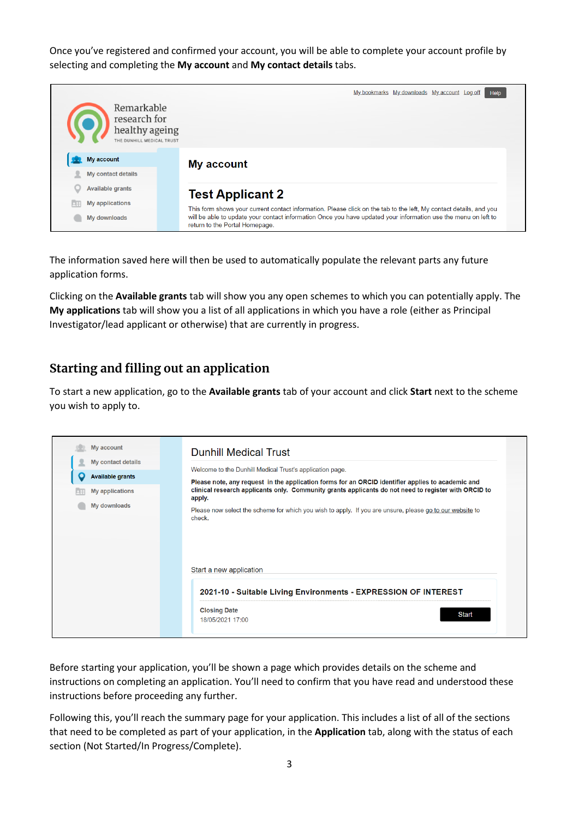Once you've registered and confirmed your account, you will be able to complete your account profile by selecting and completing the **My account** and **My contact details** tabs.



The information saved here will then be used to automatically populate the relevant parts any future application forms.

Clicking on the **Available grants** tab will show you any open schemes to which you can potentially apply. The **My applications** tab will show you a list of all applications in which you have a role (either as Principal Investigator/lead applicant or otherwise) that are currently in progress.

## **Starting and filling out an application**

To start a new application, go to the **Available grants** tab of your account and click **Start** next to the scheme you wish to apply to.

| My account                   | <b>Dunhill Medical Trust</b>                                                                                                                                                                                        |
|------------------------------|---------------------------------------------------------------------------------------------------------------------------------------------------------------------------------------------------------------------|
| My contact details           | Welcome to the Dunhill Medical Trust's application page.                                                                                                                                                            |
| О<br><b>Available grants</b> |                                                                                                                                                                                                                     |
| <b>My applications</b>       | Please note, any request in the application forms for an ORCID identifier applies to academic and<br>clinical research applicants only. Community grants applicants do not need to register with ORCID to<br>apply. |
| My downloads                 | Please now select the scheme for which you wish to apply. If you are unsure, please go to our website to<br>check.                                                                                                  |
|                              | Start a new application                                                                                                                                                                                             |
|                              | 2021-10 - Suitable Living Environments - EXPRESSION OF INTEREST                                                                                                                                                     |
|                              | <b>Closing Date</b>                                                                                                                                                                                                 |

Before starting your application, you'll be shown a page which provides details on the scheme and instructions on completing an application. You'll need to confirm that you have read and understood these instructions before proceeding any further.

Following this, you'll reach the summary page for your application. This includes a list of all of the sections that need to be completed as part of your application, in the **Application** tab, along with the status of each section (Not Started/In Progress/Complete).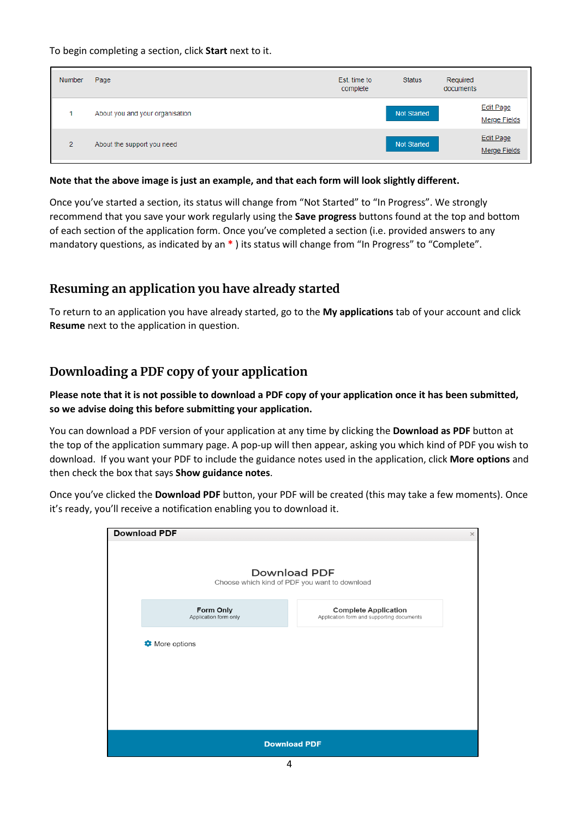To begin completing a section, click **Start** next to it.

| <b>Number</b>  | Page                            | Est. time to<br>complete | <b>Status</b>      | Required<br>documents                   |  |
|----------------|---------------------------------|--------------------------|--------------------|-----------------------------------------|--|
|                | About you and your organisation |                          | <b>Not Started</b> | <b>Edit Page</b><br><b>Merge Fields</b> |  |
| $\overline{2}$ | About the support you need      |                          | <b>Not Started</b> | Edit Page<br>Merge Fields               |  |

#### **Note that the above image is just an example, and that each form will look slightly different.**

Once you've started a section, its status will change from "Not Started" to "In Progress". We strongly recommend that you save your work regularly using the **Save progress** buttons found at the top and bottom of each section of the application form. Once you've completed a section (i.e. provided answers to any mandatory questions, as indicated by an **\*** ) its status will change from "In Progress" to "Complete".

#### **Resuming an application you have already started**

To return to an application you have already started, go to the **My applications** tab of your account and click **Resume** next to the application in question.

#### **Downloading a PDF copy of your application**

#### **Please note that it is not possible to download a PDF copy of your application once it has been submitted, so we advise doing this before submitting your application.**

You can download a PDF version of your application at any time by clicking the **Download as PDF** button at the top of the application summary page. A pop-up will then appear, asking you which kind of PDF you wish to download. If you want your PDF to include the guidance notes used in the application, click **More options** and then check the box that says **Show guidance notes**.

Once you've clicked the **Download PDF** button, your PDF will be created (this may take a few moments). Once it's ready, you'll receive a notification enabling you to download it.

| <b>Download PDF</b>                |                                                                          | $\times$ |
|------------------------------------|--------------------------------------------------------------------------|----------|
|                                    | <b>Download PDF</b><br>Choose which kind of PDF you want to download     |          |
| Form Only<br>Application form only | <b>Complete Application</b><br>Application form and supporting documents |          |
| More options                       |                                                                          |          |
|                                    |                                                                          |          |
|                                    |                                                                          |          |
|                                    |                                                                          |          |
|                                    | <b>Download PDF</b>                                                      |          |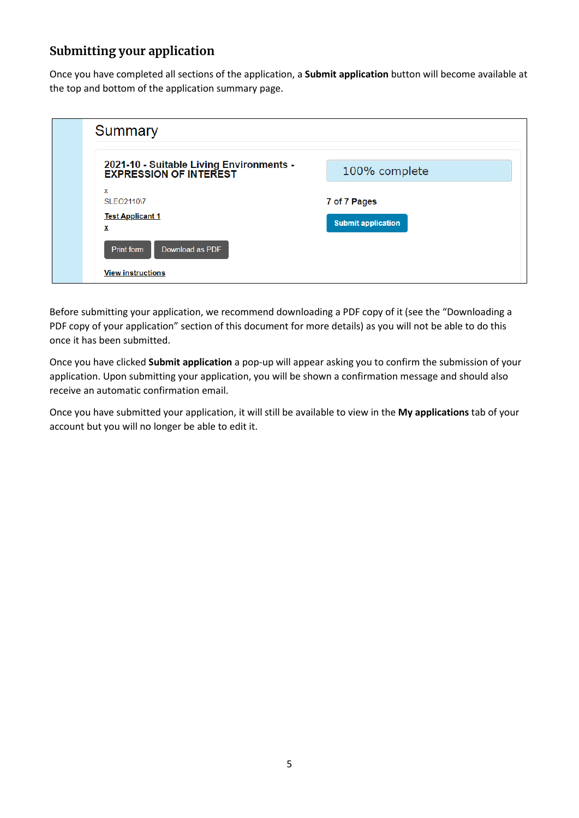## **Submitting your application**

Once you have completed all sections of the application, a **Submit application** button will become available at the top and bottom of the application summary page.

| Summary                                                                   |                           |
|---------------------------------------------------------------------------|---------------------------|
| 2021-10 - Suitable Living Environments -<br><b>EXPRESSION OF INTEREST</b> | 100% complete             |
| $\mathbf{x}$<br>SLEO2110\7<br><b>Test Applicant 1</b>                     | 7 of 7 Pages              |
| x<br>Download as PDF<br><b>Print form</b>                                 | <b>Submit application</b> |
| <b>View instructions</b>                                                  |                           |

Before submitting your application, we recommend downloading a PDF copy of it (see the "Downloading a PDF copy of your application" section of this document for more details) as you will not be able to do this once it has been submitted.

Once you have clicked **Submit application** a pop-up will appear asking you to confirm the submission of your application. Upon submitting your application, you will be shown a confirmation message and should also receive an automatic confirmation email.

Once you have submitted your application, it will still be available to view in the **My applications** tab of your account but you will no longer be able to edit it.